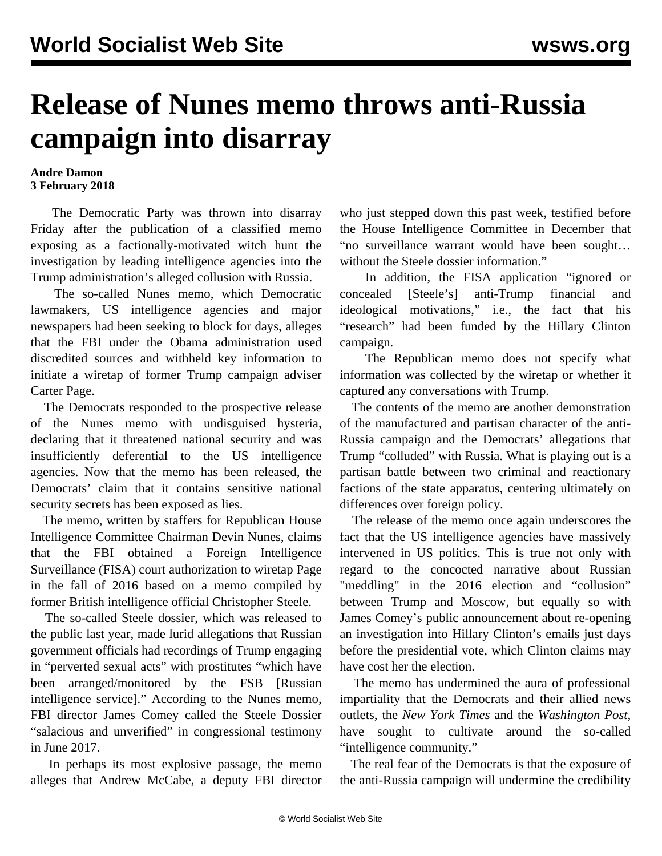## **Release of Nunes memo throws anti-Russia campaign into disarray**

## **Andre Damon 3 February 2018**

 The Democratic Party was thrown into disarray Friday after the publication of a classified memo exposing as a factionally-motivated witch hunt the investigation by leading intelligence agencies into the Trump administration's alleged collusion with Russia.

 The so-called Nunes memo, which Democratic lawmakers, US intelligence agencies and major newspapers had been seeking to block for days, alleges that the FBI under the Obama administration used discredited sources and withheld key information to initiate a wiretap of former Trump campaign adviser Carter Page.

 The Democrats responded to the prospective release of the Nunes memo with undisguised hysteria, declaring that it threatened national security and was insufficiently deferential to the US intelligence agencies. Now that the memo has been released, the Democrats' claim that it contains sensitive national security secrets has been exposed as lies.

 The memo, written by staffers for Republican House Intelligence Committee Chairman Devin Nunes, claims that the FBI obtained a Foreign Intelligence Surveillance (FISA) court authorization to wiretap Page in the fall of 2016 based on a memo compiled by former British intelligence official Christopher Steele.

 The so-called Steele dossier, which was released to the public last year, made lurid allegations that Russian government officials had recordings of Trump engaging in "perverted sexual acts" with prostitutes "which have been arranged/monitored by the FSB [Russian intelligence service]." According to the Nunes memo, FBI director James Comey called the Steele Dossier "salacious and unverified" in congressional testimony in June 2017.

 In perhaps its most explosive passage, the memo alleges that Andrew McCabe, a deputy FBI director who just stepped down this past week, testified before the House Intelligence Committee in December that "no surveillance warrant would have been sought… without the Steele dossier information."

 In addition, the FISA application "ignored or concealed [Steele's] anti-Trump financial and ideological motivations," i.e., the fact that his "research" had been funded by the Hillary Clinton campaign.

 The Republican memo does not specify what information was collected by the wiretap or whether it captured any conversations with Trump.

 The contents of the memo are another demonstration of the manufactured and partisan character of the anti-Russia campaign and the Democrats' allegations that Trump "colluded" with Russia. What is playing out is a partisan battle between two criminal and reactionary factions of the state apparatus, centering ultimately on differences over foreign policy.

 The release of the memo once again underscores the fact that the US intelligence agencies have massively intervened in US politics. This is true not only with regard to the concocted narrative about Russian "meddling" in the 2016 election and "collusion" between Trump and Moscow, but equally so with James Comey's public announcement about re-opening an investigation into Hillary Clinton's emails just days before the presidential vote, which Clinton claims may have cost her the election.

 The memo has undermined the aura of professional impartiality that the Democrats and their allied news outlets, the *New York Times* and the *Washington Post*, have sought to cultivate around the so-called "intelligence community."

 The real fear of the Democrats is that the exposure of the anti-Russia campaign will undermine the credibility